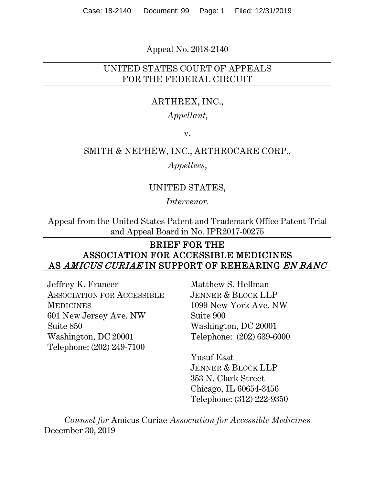### Appeal No. 2018-2140

## UNITED STATES COURT OF APPEALS FOR THE FEDERAL CIRCUIT

### ARTHREX, INC.,

## *Appellant*,

v.

### SMITH & NEPHEW, INC., ARTHROCARE CORP.,

### *Appellees*,

### UNITED STATES,

*Intervenor.*

Appeal from the United States Patent and Trademark Office Patent Trial and Appeal Board in No. IPR2017-00275

### BRIEF FOR THE ASSOCIATION FOR ACCESSIBLE MEDICINES AS AMICUS CURIAE IN SUPPORT OF REHEARING EN BANC

Jeffrey K. Francer ASSOCIATION FOR ACCESSIBLE MEDICINES 601 New Jersey Ave. NW Suite 850 Washington, DC 20001 Telephone: (202) 249-7100

Matthew S. Hellman JENNER & BLOCK LLP 1099 New York Ave. NW Suite 900 Washington, DC 20001 Telephone: (202) 639-6000

Yusuf Esat JENNER & BLOCK LLP 353 N. Clark Street Chicago, IL 60654-3456 Telephone: (312) 222-9350

*Counsel for* Amicus Curiae *Association for Accessible Medicines* December 30, 2019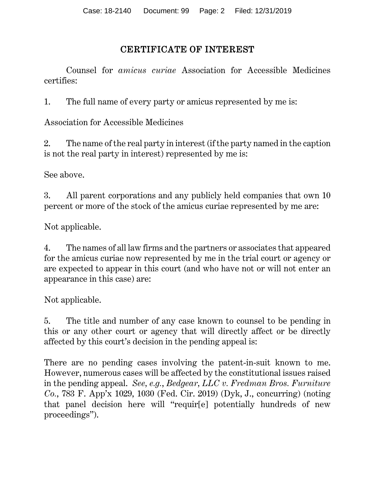# CERTIFICATE OF INTEREST

Counsel for *amicus curiae* Association for Accessible Medicines certifies:

1. The full name of every party or amicus represented by me is:

Association for Accessible Medicines

2. The name of the real party in interest (if the party named in the caption is not the real party in interest) represented by me is:

See above.

3. All parent corporations and any publicly held companies that own 10 percent or more of the stock of the amicus curiae represented by me are:

Not applicable.

4. The names of all law firms and the partners or associates that appeared for the amicus curiae now represented by me in the trial court or agency or are expected to appear in this court (and who have not or will not enter an appearance in this case) are:

Not applicable.

5. The title and number of any case known to counsel to be pending in this or any other court or agency that will directly affect or be directly affected by this court's decision in the pending appeal is:

There are no pending cases involving the patent-in-suit known to me. However, numerous cases will be affected by the constitutional issues raised in the pending appeal. *See, e.g.*, *Bedgear, LLC v. Fredman Bros. Furniture Co.*, 783 F. App'x 1029, 1030 (Fed. Cir. 2019) (Dyk, J., concurring) (noting that panel decision here will "requir[e] potentially hundreds of new proceedings").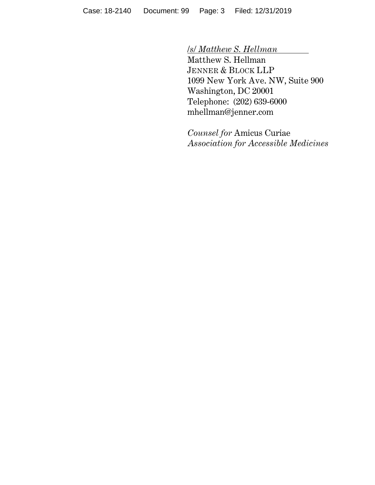/*s/ Matthew S. Hellman*

Matthew S. Hellman JENNER & BLOCK LLP 1099 New York Ave. NW, Suite 900 Washington, DC 20001 Telephone: (202) 639-6000 mhellman@jenner.com

*Counsel for* Amicus Curiae *Association for Accessible Medicines*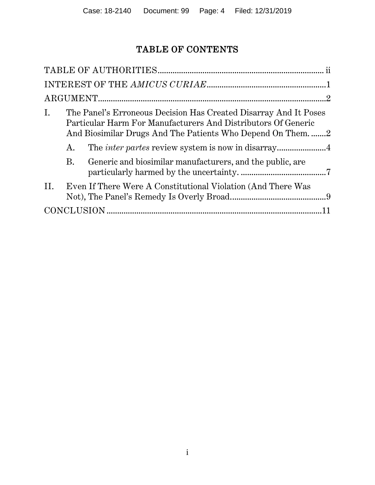# TABLE OF CONTENTS

| I.  | The Panel's Erroneous Decision Has Created Disarray And It Poses<br>Particular Harm For Manufacturers And Distributors Of Generic<br>And Biosimilar Drugs And The Patients Who Depend On Them2 |                                                              |  |
|-----|------------------------------------------------------------------------------------------------------------------------------------------------------------------------------------------------|--------------------------------------------------------------|--|
|     | Α.                                                                                                                                                                                             |                                                              |  |
|     | В.                                                                                                                                                                                             | Generic and biosimilar manufacturers, and the public, are    |  |
| II. |                                                                                                                                                                                                | Even If There Were A Constitutional Violation (And There Was |  |
|     |                                                                                                                                                                                                |                                                              |  |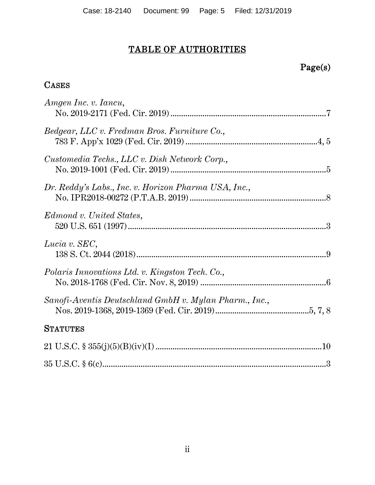# TABLE OF AUTHORITIES

# Page(s)

### <span id="page-4-0"></span>**CASES**

| Amgen Inc. v. Iancu,                                   |  |
|--------------------------------------------------------|--|
| Bedgear, LLC v. Fredman Bros. Furniture Co.,           |  |
| Customedia Techs., LLC v. Dish Network Corp.,          |  |
| Dr. Reddy's Labs., Inc. v. Horizon Pharma USA, Inc.,   |  |
| Edmond v. United States,                               |  |
| Lucia v. $SEC,$                                        |  |
| Polaris Innovations Ltd. v. Kingston Tech. Co.,        |  |
| Sanofi-Aventis Deutschland GmbH v. Mylan Pharm., Inc., |  |
| <b>STATUTES</b>                                        |  |
|                                                        |  |
|                                                        |  |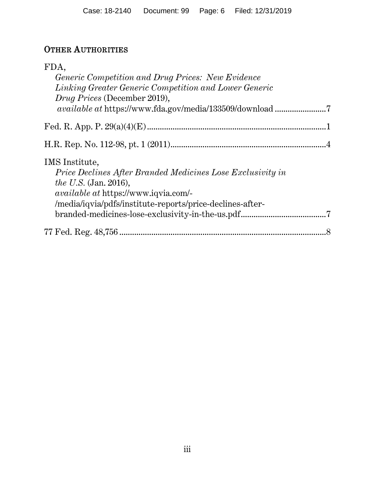# OTHER AUTHORITIES

| FDA.<br><i>Generic Competition and Drug Prices: New Evidence</i><br><b>Linking Greater Generic Competition and Lower Generic</b><br>Drug Prices (December 2019),<br><i>available at https://www.fda.gov/media/133509/download</i> 7 |  |
|-------------------------------------------------------------------------------------------------------------------------------------------------------------------------------------------------------------------------------------|--|
|                                                                                                                                                                                                                                     |  |
|                                                                                                                                                                                                                                     |  |
|                                                                                                                                                                                                                                     |  |
| IMS Institute,<br><i>Price Declines After Branded Medicines Lose Exclusivity in</i><br><i>the U.S.</i> (Jan. 2016),<br><i>available at https://www.iqvia.com/-</i><br>/media/iqvia/pdfs/institute-reports/price-declines-after-     |  |
|                                                                                                                                                                                                                                     |  |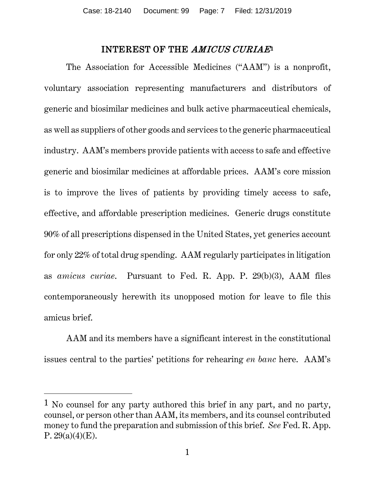#### INTEREST OF THE AMICUS CURIAE[1](#page-6-1)

<span id="page-6-0"></span>The Association for Accessible Medicines ("AAM") is a nonprofit, voluntary association representing manufacturers and distributors of generic and biosimilar medicines and bulk active pharmaceutical chemicals, as well as suppliers of other goods and services to the generic pharmaceutical industry. AAM's members provide patients with access to safe and effective generic and biosimilar medicines at affordable prices. AAM's core mission is to improve the lives of patients by providing timely access to safe, effective, and affordable prescription medicines. Generic drugs constitute 90% of all prescriptions dispensed in the United States, yet generics account for only 22% of total drug spending. AAM regularly participates in litigation as *amicus curiae*. Pursuant to Fed. R. App. P. 29(b)(3), AAM files contemporaneously herewith its unopposed motion for leave to file this amicus brief.

AAM and its members have a significant interest in the constitutional issues central to the parties' petitions for rehearing *en banc* here. AAM's

 $\overline{a}$ 

<span id="page-6-1"></span><sup>1</sup> No counsel for any party authored this brief in any part, and no party, counsel, or person other than AAM, its members, and its counsel contributed money to fund the preparation and submission of this brief. *See* Fed. R. App. P.  $29(a)(4)(E)$ .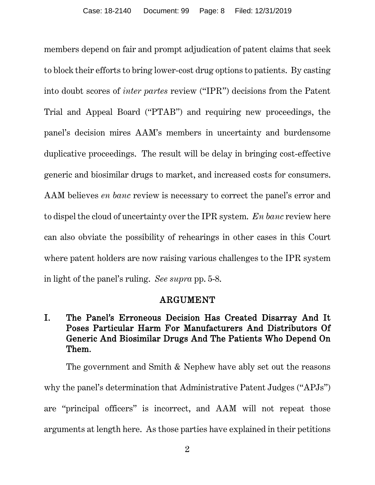members depend on fair and prompt adjudication of patent claims that seek to block their efforts to bring lower-cost drug options to patients. By casting into doubt scores of *inter partes* review ("IPR") decisions from the Patent Trial and Appeal Board ("PTAB") and requiring new proceedings, the panel's decision mires AAM's members in uncertainty and burdensome duplicative proceedings. The result will be delay in bringing cost-effective generic and biosimilar drugs to market, and increased costs for consumers. AAM believes *en banc* review is necessary to correct the panel's error and to dispel the cloud of uncertainty over the IPR system. *En banc* review here can also obviate the possibility of rehearings in other cases in this Court where patent holders are now raising various challenges to the IPR system in light of the panel's ruling. *See supra* pp. 5-8.

#### ARGUMENT

## <span id="page-7-1"></span><span id="page-7-0"></span>I. The Panel's Erroneous Decision Has Created Disarray And It Poses Particular Harm For Manufacturers And Distributors Of Generic And Biosimilar Drugs And The Patients Who Depend On Them.

The government and Smith & Nephew have ably set out the reasons why the panel's determination that Administrative Patent Judges ("APJs") are "principal officers" is incorrect, and AAM will not repeat those arguments at length here. As those parties have explained in their petitions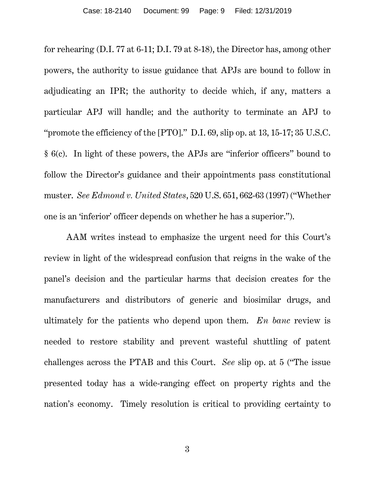for rehearing (D.I. 77 at 6-11; D.I. 79 at 8-18), the Director has, among other powers, the authority to issue guidance that APJs are bound to follow in adjudicating an IPR; the authority to decide which, if any, matters a particular APJ will handle; and the authority to terminate an APJ to "promote the efficiency of the [PTO]." D.I. 69, slip op. at 13, 15-17; 35 U.S.C. § 6(c). In light of these powers, the APJs are "inferior officers" bound to follow the Director's guidance and their appointments pass constitutional muster. *See Edmond v. United States*, 520 U.S. 651, 662-63 (1997) ("Whether one is an 'inferior' officer depends on whether he has a superior.").

AAM writes instead to emphasize the urgent need for this Court's review in light of the widespread confusion that reigns in the wake of the panel's decision and the particular harms that decision creates for the manufacturers and distributors of generic and biosimilar drugs, and ultimately for the patients who depend upon them. *En banc* review is needed to restore stability and prevent wasteful shuttling of patent challenges across the PTAB and this Court. *See* slip op. at 5 ("The issue presented today has a wide-ranging effect on property rights and the nation's economy. Timely resolution is critical to providing certainty to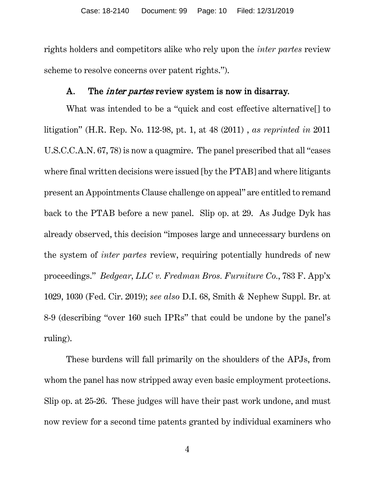rights holders and competitors alike who rely upon the *inter partes* review scheme to resolve concerns over patent rights.").

#### A. The *inter partes* review system is now in disarray.

<span id="page-9-0"></span>What was intended to be a "quick and cost effective alternative[] to litigation" (H.R. Rep. No. 112-98, pt. 1, at 48 (2011) , *as reprinted in* 2011 U.S.C.C.A.N. 67, 78) is now a quagmire. The panel prescribed that all "cases where final written decisions were issued [by the PTAB] and where litigants present an Appointments Clause challenge on appeal" are entitled to remand back to the PTAB before a new panel. Slip op. at 29. As Judge Dyk has already observed, this decision "imposes large and unnecessary burdens on the system of *inter partes* review, requiring potentially hundreds of new proceedings." *Bedgear, LLC v. Fredman Bros. Furniture Co.*, 783 F. App'x 1029, 1030 (Fed. Cir. 2019); *see also* D.I. 68, Smith & Nephew Suppl. Br. at 8-9 (describing "over 160 such IPRs" that could be undone by the panel's ruling).

These burdens will fall primarily on the shoulders of the APJs, from whom the panel has now stripped away even basic employment protections. Slip op. at 25-26. These judges will have their past work undone, and must now review for a second time patents granted by individual examiners who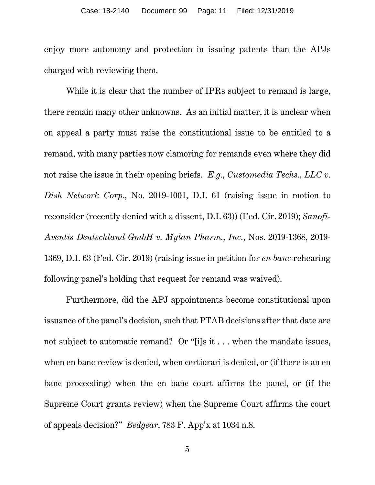enjoy more autonomy and protection in issuing patents than the APJs charged with reviewing them.

While it is clear that the number of IPRs subject to remand is large, there remain many other unknowns. As an initial matter, it is unclear when on appeal a party must raise the constitutional issue to be entitled to a remand, with many parties now clamoring for remands even where they did not raise the issue in their opening briefs. *E.g.*, *Customedia Techs., LLC v. Dish Network Corp.*, No. 2019-1001, D.I. 61 (raising issue in motion to reconsider (recently denied with a dissent, D.I. 63)) (Fed. Cir. 2019); *Sanofi-Aventis Deutschland GmbH v. Mylan Pharm., Inc.*, Nos. 2019-1368, 2019- 1369, D.I. 63 (Fed. Cir. 2019) (raising issue in petition for *en banc* rehearing following panel's holding that request for remand was waived).

Furthermore, did the APJ appointments become constitutional upon issuance of the panel's decision, such that PTAB decisions after that date are not subject to automatic remand? Or "[i]s it . . . when the mandate issues, when en banc review is denied, when certiorari is denied, or (if there is an en banc proceeding) when the en banc court affirms the panel, or (if the Supreme Court grants review) when the Supreme Court affirms the court of appeals decision?" *Bedgear*, 783 F. App'x at 1034 n.8.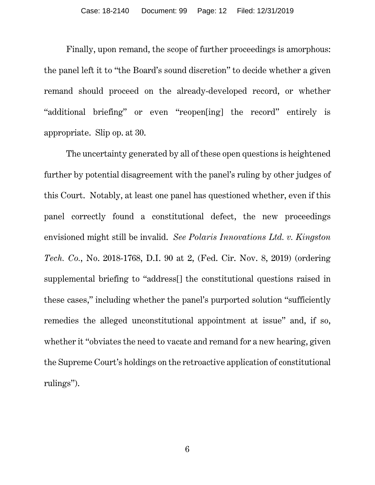Finally, upon remand, the scope of further proceedings is amorphous: the panel left it to "the Board's sound discretion" to decide whether a given remand should proceed on the already-developed record, or whether "additional briefing" or even "reopen[ing] the record" entirely is appropriate. Slip op. at 30.

The uncertainty generated by all of these open questions is heightened further by potential disagreement with the panel's ruling by other judges of this Court. Notably, at least one panel has questioned whether, even if this panel correctly found a constitutional defect, the new proceedings envisioned might still be invalid. *See Polaris Innovations Ltd. v. Kingston Tech. Co.*, No. 2018-1768, D.I. 90 at 2, (Fed. Cir. Nov. 8, 2019) (ordering supplemental briefing to "address[] the constitutional questions raised in these cases," including whether the panel's purported solution "sufficiently remedies the alleged unconstitutional appointment at issue" and, if so, whether it "obviates the need to vacate and remand for a new hearing, given the Supreme Court's holdings on the retroactive application of constitutional rulings").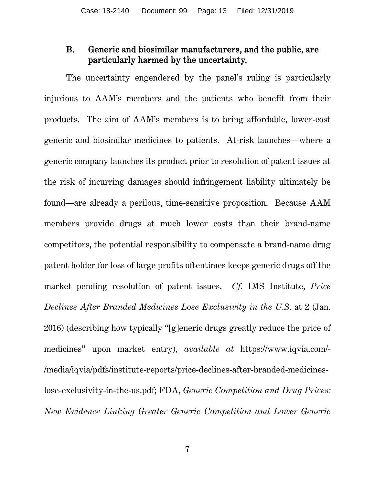## <span id="page-12-0"></span>B. Generic and biosimilar manufacturers, and the public, are particularly harmed by the uncertainty.

The uncertainty engendered by the panel's ruling is particularly injurious to AAM's members and the patients who benefit from their products. The aim of AAM's members is to bring affordable, lower-cost generic and biosimilar medicines to patients. At-risk launches—where a generic company launches its product prior to resolution of patent issues at the risk of incurring damages should infringement liability ultimately be found—are already a perilous, time-sensitive proposition. Because AAM members provide drugs at much lower costs than their brand-name competitors, the potential responsibility to compensate a brand-name drug patent holder for loss of large profits oftentimes keeps generic drugs off the market pending resolution of patent issues. *Cf.* IMS Institute, *Price Declines After Branded Medicines Lose Exclusivity in the U.S.* at 2 (Jan. 2016) (describing how typically "[g]eneric drugs greatly reduce the price of medicines" upon market entry), *available at* https://www.iqvia.com/- /media/iqvia/pdfs/institute-reports/price-declines-after-branded-medicineslose-exclusivity-in-the-us.pdf; FDA, *Generic Competition and Drug Prices: New Evidence Linking Greater Generic Competition and Lower Generic*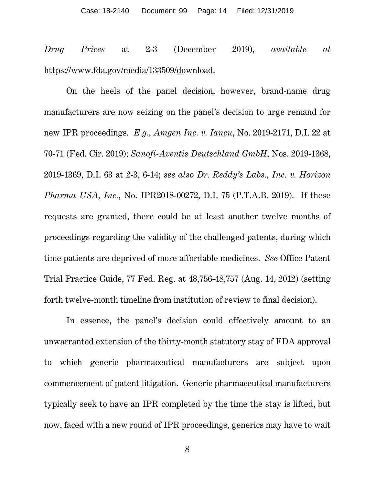*Drug Prices* at 2-3 (December 2019), *available at* https://www.fda.gov/media/133509/download.

On the heels of the panel decision, however, brand-name drug manufacturers are now seizing on the panel's decision to urge remand for new IPR proceedings. *E.g.*, *Amgen Inc. v. Iancu*, No. 2019-2171, D.I. 22 at 70-71 (Fed. Cir. 2019); *Sanofi-Aventis Deutschland GmbH*, Nos. 2019-1368, 2019-1369, D.I. 63 at 2-3, 6-14; *see also Dr. Reddy's Labs., Inc. v. Horizon Pharma USA, Inc.*, No. IPR2018-00272, D.I. 75 (P.T.A.B. 2019). If these requests are granted, there could be at least another twelve months of proceedings regarding the validity of the challenged patents, during which time patients are deprived of more affordable medicines. *See* Office Patent Trial Practice Guide, 77 Fed. Reg. at 48,756-48,757 (Aug. 14, 2012) (setting forth twelve-month timeline from institution of review to final decision).

In essence, the panel's decision could effectively amount to an unwarranted extension of the thirty-month statutory stay of FDA approval to which generic pharmaceutical manufacturers are subject upon commencement of patent litigation. Generic pharmaceutical manufacturers typically seek to have an IPR completed by the time the stay is lifted, but now, faced with a new round of IPR proceedings, generics may have to wait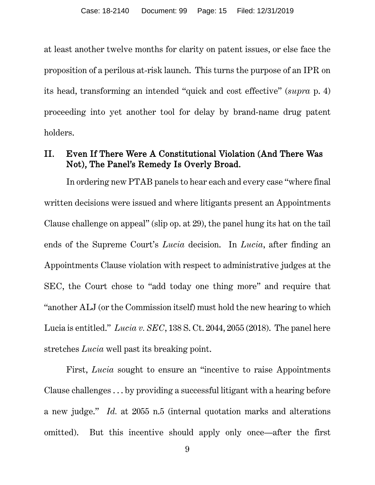at least another twelve months for clarity on patent issues, or else face the proposition of a perilous at-risk launch. This turns the purpose of an IPR on its head, transforming an intended "quick and cost effective" (*supra* p. 4) proceeding into yet another tool for delay by brand-name drug patent holders.

## <span id="page-14-0"></span>II. Even If There Were A Constitutional Violation (And There Was Not), The Panel's Remedy Is Overly Broad.

In ordering new PTAB panels to hear each and every case "where final written decisions were issued and where litigants present an Appointments Clause challenge on appeal" (slip op. at 29), the panel hung its hat on the tail ends of the Supreme Court's *Lucia* decision. In *Lucia*, after finding an Appointments Clause violation with respect to administrative judges at the SEC, the Court chose to "add today one thing more" and require that "another ALJ (or the Commission itself) must hold the new hearing to which Lucia is entitled." *Lucia v. SEC*, 138 S. Ct. 2044, 2055 (2018). The panel here stretches *Lucia* well past its breaking point.

First, *Lucia* sought to ensure an "incentive to raise Appointments" Clause challenges . . . by providing a successful litigant with a hearing before a new judge." *Id.* at 2055 n.5 (internal quotation marks and alterations omitted). But this incentive should apply only once—after the first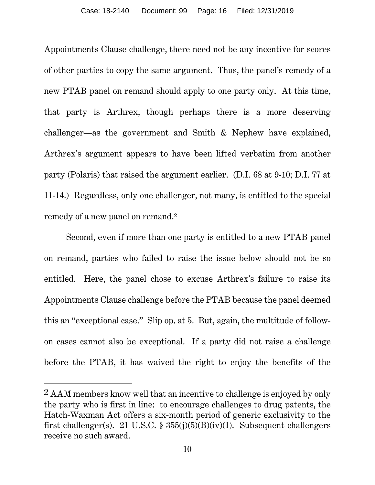Appointments Clause challenge, there need not be any incentive for scores of other parties to copy the same argument. Thus, the panel's remedy of a new PTAB panel on remand should apply to one party only. At this time, that party is Arthrex, though perhaps there is a more deserving challenger—as the government and Smith & Nephew have explained, Arthrex's argument appears to have been lifted verbatim from another party (Polaris) that raised the argument earlier. (D.I. 68 at 9-10; D.I. 77 at 11-14.) Regardless, only one challenger, not many, is entitled to the special remedy of a new panel on remand.[2](#page-15-0)

Second, even if more than one party is entitled to a new PTAB panel on remand, parties who failed to raise the issue below should not be so entitled. Here, the panel chose to excuse Arthrex's failure to raise its Appointments Clause challenge before the PTAB because the panel deemed this an "exceptional case." Slip op. at 5. But, again, the multitude of followon cases cannot also be exceptional. If a party did not raise a challenge before the PTAB, it has waived the right to enjoy the benefits of the

 $\overline{a}$ 

<span id="page-15-0"></span><sup>2</sup> AAM members know well that an incentive to challenge is enjoyed by only the party who is first in line: to encourage challenges to drug patents, the Hatch-Waxman Act offers a six-month period of generic exclusivity to the first challenger(s). 21 U.S.C. §  $355(j)(5)(B)(iv)(I)$ . Subsequent challengers receive no such award.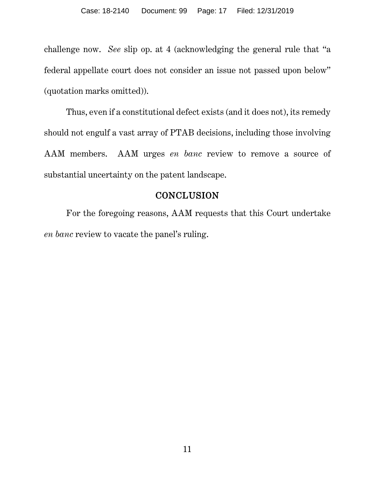challenge now. *See* slip op. at 4 (acknowledging the general rule that "a federal appellate court does not consider an issue not passed upon below" (quotation marks omitted)).

Thus, even if a constitutional defect exists (and it does not), its remedy should not engulf a vast array of PTAB decisions, including those involving AAM members. AAM urges *en banc* review to remove a source of substantial uncertainty on the patent landscape.

### **CONCLUSION**

<span id="page-16-0"></span>For the foregoing reasons, AAM requests that this Court undertake *en banc* review to vacate the panel's ruling.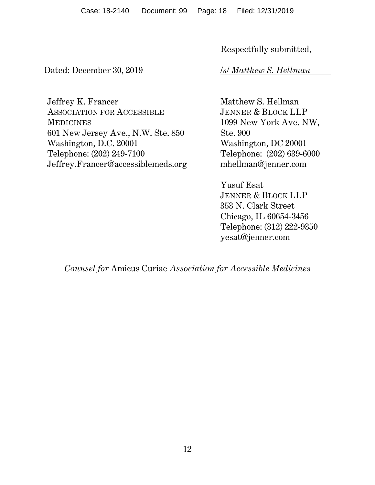Case: 18-2140 Document: 99 Page: 18 Filed: 12/31/2019

Respectfully submitted,

Dated: December 30, 2019 /*s/ Matthew S. Hellman* 

Jeffrey K. Francer ASSOCIATION FOR ACCESSIBLE MEDICINES 601 New Jersey Ave., N.W. Ste. 850 Washington, D.C. 20001 Telephone: (202) 249-7100 Jeffrey.Francer@accessiblemeds.org Matthew S. Hellman JENNER & BLOCK LLP 1099 New York Ave. NW, Ste. 900 Washington, DC 20001 Telephone: (202) 639-6000 mhellman@jenner.com

Yusuf Esat JENNER & BLOCK LLP 353 N. Clark Street Chicago, IL 60654-3456 Telephone: (312) 222-9350 yesat@jenner.com

*Counsel for* Amicus Curiae *Association for Accessible Medicines*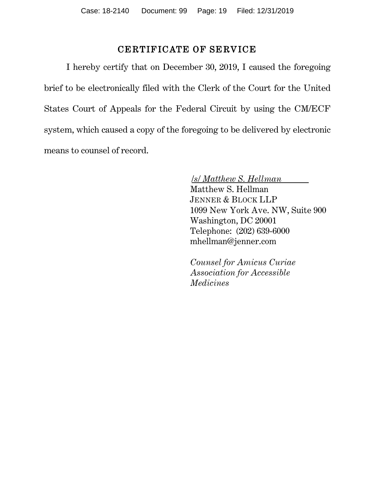## CERTIFICATE OF SERVICE

I hereby certify that on December 30, 2019, I caused the foregoing brief to be electronically filed with the Clerk of the Court for the United States Court of Appeals for the Federal Circuit by using the CM/ECF system, which caused a copy of the foregoing to be delivered by electronic means to counsel of record.

#### /*s/ Matthew S. Hellman*

Matthew S. Hellman JENNER & BLOCK LLP 1099 New York Ave. NW, Suite 900 Washington, DC 20001 Telephone: (202) 639-6000 mhellman@jenner.com

*Counsel for Amicus Curiae Association for Accessible Medicines*